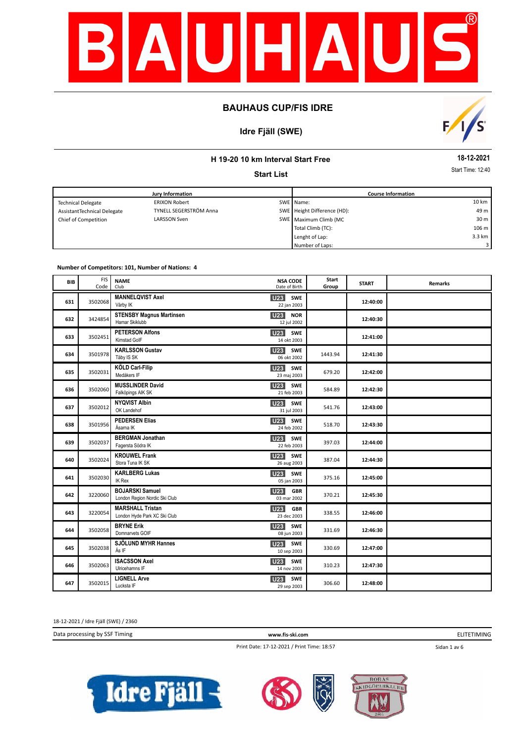

# **Idre Fjäll (SWE)**



### **H 19-20 10 km Interval Start Free**

**Start List**

**18-12-2021**

Start Time: 12:40

|                             | Jury Information       | <b>Course Information</b> |                             |                 |
|-----------------------------|------------------------|---------------------------|-----------------------------|-----------------|
| <b>Technical Delegate</b>   | <b>ERIXON Robert</b>   |                           | SWE Name:                   | 10 km           |
| AssistantTechnical Delegate | TYNELL SEGERSTRÖM Anna |                           | SWE Height Difference (HD): | 49 m            |
| Chief of Competition        | LARSSON Sven           |                           | SWE Maximum Climb (MC       | 30 <sub>m</sub> |
|                             |                        |                           | Total Climb (TC):           | 106 m           |
|                             |                        |                           | Lenght of Lap:              | 3.3 km          |
|                             |                        |                           | Number of Laps:             | 3 I             |

#### **Number of Competitors: 101, Number of Nations: 4**

| <b>BIB</b> | <b>FIS</b><br>Code | <b>NAME</b><br>Club                                     | <b>NSA CODE</b><br>Date of Birth             | Start<br>Group | <b>START</b> | <b>Remarks</b> |
|------------|--------------------|---------------------------------------------------------|----------------------------------------------|----------------|--------------|----------------|
| 631        | 3502068            | <b>MANNELQVIST Axel</b><br>Vårby IK                     | <b>U23</b><br>SWE<br>22 jan 2003             |                | 12:40:00     |                |
| 632        | 3424854            | <b>STENSBY Magnus Martinsen</b><br>Hamar Skiklubb       | U23<br><b>NOR</b><br>12 jul 2002             |                | 12:40:30     |                |
| 633        | 3502451            | <b>PETERSON Alfons</b><br>Kimstad GoIF                  | U23<br>SWE<br>14 okt 2003                    |                | 12:41:00     |                |
| 634        | 3501978            | <b>KARLSSON Gustav</b><br>Täby IS SK                    | <b>U23</b><br>SWE<br>06 okt 2002             | 1443.94        | 12:41:30     |                |
| 635        | 3502031            | KÖLD Carl-Filip<br>Medåkers IF                          | U23<br><b>SWE</b><br>23 maj 2003             | 679.20         | 12:42:00     |                |
| 636        | 3502060            | <b>MUSSLINDER David</b><br>Falköpings AIK SK            | <b>U23</b><br>SWE<br>21 feb 2003             | 584.89         | 12:42:30     |                |
| 637        | 3502012            | <b>NYQVIST Albin</b><br>OK Landehof                     | U23<br>SWE<br>31 jul 2003                    | 541.76         | 12:43:00     |                |
| 638        | 3501956            | <b>PEDERSEN Elias</b><br>Åsarna IK                      | U23<br>SWE<br>24 feb 2002                    | 518.70         | 12:43:30     |                |
| 639        | 3502037            | <b>BERGMAN Jonathan</b><br>Fagersta Södra IK            | U23<br>SWE<br>22 feb 2003                    | 397.03         | 12:44:00     |                |
| 640        | 3502024            | <b>KROUWEL Frank</b><br>Stora Tuna IK SK                | U23<br><b>SWE</b><br>26 aug 2003             | 387.04         | 12:44:30     |                |
| 641        | 3502030            | <b>KARLBERG Lukas</b><br><b>IK Rex</b>                  | U23<br>SWE<br>05 jan 2003                    | 375.16         | 12:45:00     |                |
| 642        | 3220060            | <b>BOJARSKI Samuel</b><br>London Region Nordic Ski Club | U23<br><b>GBR</b><br>03 mar 2002             | 370.21         | 12:45:30     |                |
| 643        | 3220054            | <b>MARSHALL Tristan</b><br>London Hyde Park XC Ski Club | U <sub>23</sub><br><b>GBR</b><br>23 dec 2003 | 338.55         | 12:46:00     |                |
| 644        | 3502058            | <b>BRYNE Erik</b><br>Domnarvets GOIF                    | SWE<br><b>U23</b><br>08 jun 2003             | 331.69         | 12:46:30     |                |
| 645        | 3502038            | SJÖLUND MYHR Hannes<br>Ås IF                            | U23<br><b>SWE</b><br>10 sep 2003             | 330.69         | 12:47:00     |                |
| 646        | 3502063            | <b>ISACSSON Axel</b><br>Ulricehamns IF                  | <b>U23</b> SWE<br>14 nov 2003                | 310.23         | 12:47:30     |                |
| 647        | 3502015            | <b>LIGNELL Arve</b><br>Lucksta IF                       | <b>U23</b><br><b>SWE</b><br>29 sep 2003      | 306.60         | 12:48:00     |                |

18-12-2021 / Idre Fjäll (SWE) / 2360

Data processing by SSF Timing **www.fis-ski.com**

ELITETIMING

Print Date: 17-12-2021 / Print Time: 18:57

Sidan 1 av 6





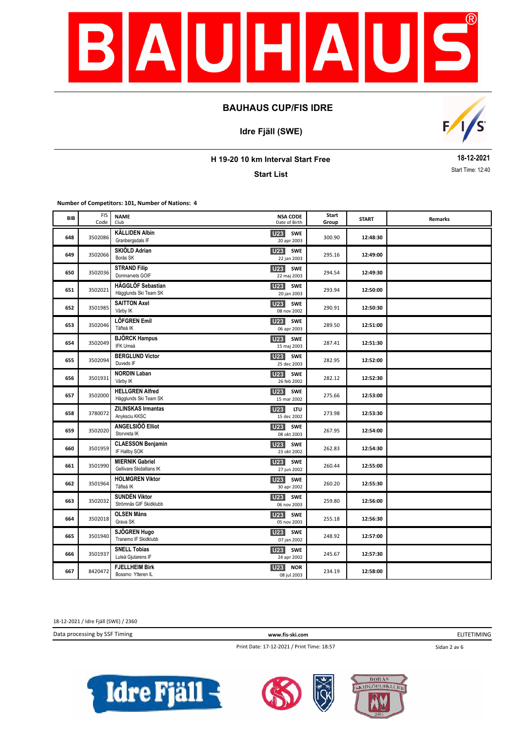

**Idre Fjäll (SWE)**



**H 19-20 10 km Interval Start Free**

**Start List**

**18-12-2021** Start Time: 12:40

**Number of Competitors: 101, Number of Nations: 4**

| BIB | <b>FIS</b><br>Code | <b>NAME</b><br>Club                                | <b>NSA CODE</b><br>Date of Birth             | Start<br>Group | <b>START</b> | Remarks |
|-----|--------------------|----------------------------------------------------|----------------------------------------------|----------------|--------------|---------|
| 648 | 3502086            | <b>KÄLLIDEN Albin</b><br>Granbergsdals IF          | <b>U23</b><br><b>SWE</b><br>20 apr 2003      | 300.90         | 12:48:30     |         |
| 649 | 3502066            | SKIÖLD Adrian<br>Borås SK                          | U23<br><b>SWE</b><br>22 jan 2003             | 295.16         | 12:49:00     |         |
| 650 | 3502036            | <b>STRAND Filip</b><br>Domnarvets GOIF             | <b>U23</b><br>SWE<br>22 maj 2003             | 294.54         | 12:49:30     |         |
| 651 | 3502021            | HÄGGLÖF Sebastian<br>Hägglunds Ski Team SK         | U <sub>23</sub><br><b>SWE</b><br>20 jan 2003 | 293.94         | 12:50:00     |         |
| 652 | 3501985            | <b>SAITTON Axel</b><br>Vårby IK                    | <b>U23</b><br>SWE<br>08 nov 2002             | 290.91         | 12:50:30     |         |
| 653 | 3502046            | LÖFGREN Emil<br>Täfteå IK                          | <b>U23</b><br><b>SWE</b><br>06 apr 2003      | 289.50         | 12:51:00     |         |
| 654 | 3502049            | <b>BJÖRCK Hampus</b><br><b>IFK Umeå</b>            | <b>U23</b><br><b>SWE</b><br>15 maj 2003      | 287.41         | 12:51:30     |         |
| 655 | 3502094            | <b>BERGLUND Victor</b><br>Duveds IF                | <b>U23</b><br><b>SWE</b><br>25 dec 2003      | 282.95         | 12:52:00     |         |
| 656 | 3501931            | <b>NORDIN Laban</b><br>Vårby IK                    | U23<br>SWE<br>26 feb 2002                    | 282.12         | 12:52:30     |         |
| 657 | 3502000            | <b>HELLGREN Alfred</b><br>Hägglunds Ski Team SK    | U <sub>23</sub><br><b>SWE</b><br>15 mar 2002 | 275.66         | 12:53:00     |         |
| 658 | 3780072            | <b>ZILINSKAS Irmantas</b><br>Anyksciu KKSC         | U23<br><b>ITU</b><br>15 dec 2002             | 273.98         | 12:53:30     |         |
| 659 | 3502020            | ANGELSIÖÖ Elliot<br>Storvreta IK                   | U23<br><b>SWE</b><br>08 okt 2003             | 267.95         | 12:54:00     |         |
| 660 | 3501959            | <b>CLAESSON Benjamin</b><br>IF Hallby SOK          | U23<br><b>SWE</b><br>23 okt 2002             | 262.83         | 12:54:30     |         |
| 661 | 3501990            | <b>MIERNIK Gabriel</b><br>Gellivare Skidallians IK | U23<br><b>SWE</b><br>27 jun 2002             | 260.44         | 12:55:00     |         |
| 662 | 3501964            | <b>HOLMGREN Viktor</b><br>Täfteå IK                | U23<br><b>SWE</b><br>30 apr 2002             | 260.20         | 12:55:30     |         |
| 663 | 3502032            | <b>SUNDÉN Viktor</b><br>Strömnäs GIF Skidklubb     | U <sub>23</sub><br><b>SWE</b><br>06 nov 2003 | 259.80         | 12:56:00     |         |
| 664 | 3502018            | <b>OLSEN Måns</b><br>Grava SK                      | <b>U23</b><br><b>SWE</b><br>05 nov 2003      | 255.18         | 12:56:30     |         |
| 665 | 3501940            | SJÖGREN Hugo<br>Tranemo IF Skidklubb               | <b>U23</b><br><b>SWE</b><br>07 jan 2002      | 248.92         | 12:57:00     |         |
| 666 | 3501937            | <b>SNELL Tobias</b><br>Luleå Gjutarens IF          | <b>U23</b><br><b>SWE</b><br>24 apr 2002      | 245.67         | 12:57:30     |         |
| 667 | 8420472            | <b>FJELLHEIM Birk</b><br>Bossmo Ytteren IL         | <b>U23</b><br><b>NOR</b><br>08 jul 2003      | 234.19         | 12:58:00     |         |

18-12-2021 / Idre Fjäll (SWE) / 2360

Data processing by SSF Timing **www.fis-ski.com**

Print Date: 17-12-2021 / Print Time: 18:57

ELITETIMING

Sidan 2 av 6





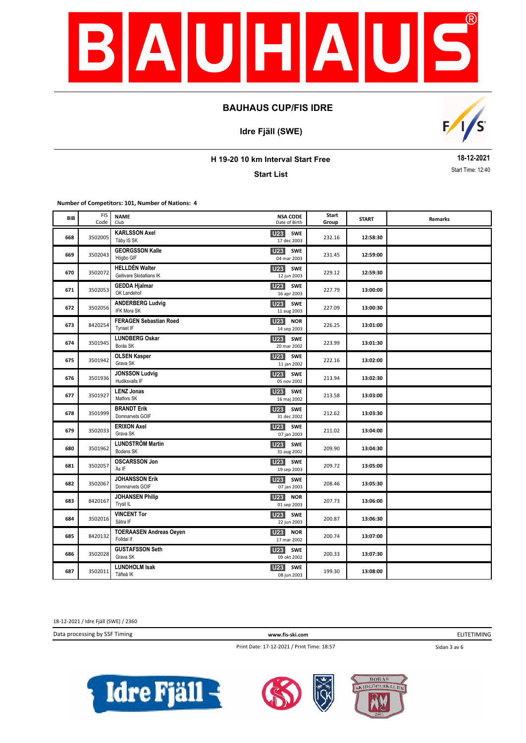

**Idre Fjäll (SWE)**



**H 19-20 10 km Interval Start Free**

**Start List**

**18-12-2021** Start Time: 12:40

**Number of Competitors: 101, Number of Nations: 4**

| BIB | <b>FIS</b><br>Code | <b>NAME</b><br>Club                               | <b>NSA CODE</b><br>Date of Birth             | Start<br>Group | <b>START</b> | Remarks |
|-----|--------------------|---------------------------------------------------|----------------------------------------------|----------------|--------------|---------|
| 668 | 3502005            | <b>KARLSSON Axel</b><br>Täby IS SK                | SWE<br><b>U23</b><br>17 dec 2003             | 232.16         | 12:58:30     |         |
| 669 | 3502043            | <b>GEORGSSON Kalle</b><br>Högbo GIF               | <b>U23</b><br><b>SWE</b><br>04 mar 2003      | 231.45         | 12:59:00     |         |
| 670 | 3502072            | <b>HELLDÉN Walter</b><br>Gellivare Skidallians IK | <b>U23</b><br><b>SWE</b><br>12 jun 2003      | 229.12         | 12:59:30     |         |
| 671 | 3502053            | <b>GEDDA Hjalmar</b><br>OK Landehof               | <b>U23</b><br><b>SWE</b><br>16 apr 2003      | 227.79         | 13:00:00     |         |
| 672 | 3502056            | <b>ANDERBERG Ludvig</b><br>IFK Mora SK            | <b>SWE</b><br><b>U23</b><br>11 aug 2003      | 227.09         | 13:00:30     |         |
| 673 | 8420254            | <b>FERAGEN Sebastian Roed</b><br>Tynset IF        | U23<br><b>NOR</b><br>14 sep 2003             | 226.25         | 13:01:00     |         |
| 674 | 3501945            | <b>LUNDBERG Oskar</b><br>Borås SK                 | U <sub>23</sub><br><b>SWE</b><br>20 mar 2002 | 223.99         | 13:01:30     |         |
| 675 | 3501942            | <b>OLSEN Kasper</b><br>Grava SK                   | <b>U23</b><br><b>SWE</b><br>11 jan 2002      | 222.16         | 13:02:00     |         |
| 676 | 3501936            | <b>JONSSON Ludvig</b><br>Hudiksvalls IF           | U23<br><b>SWE</b><br>05 nov 2002             | 213.94         | 13:02:30     |         |
| 677 | 3501927            | <b>LENZ Jonas</b><br>Matfors SK                   | U <sub>23</sub><br><b>SWE</b><br>16 maj 2002 | 213.58         | 13:03:00     |         |
| 678 | 3501999            | <b>BRANDT Erik</b><br>Domnarvets GOIF             | U <sub>23</sub><br>SWE<br>31 dec 2002        | 212.62         | 13:03:30     |         |
| 679 | 3502033            | <b>ERIXON Axel</b><br>Grava SK                    | <b>U23</b><br><b>SWE</b><br>07 jan 2003      | 211.02         | 13:04:00     |         |
| 680 | 3501962            | <b>LUNDSTRÖM Martin</b><br>Bodens SK              | U23<br>SWE<br>31 aug 2002                    | 209.90         | 13:04:30     |         |
| 681 | 3502057            | <b>OSCARSSON Jon</b><br>Ås IF                     | U <sub>23</sub><br>SWE<br>19 sep 2003        | 209.72         | 13:05:00     |         |
| 682 | 3502067            | <b>JOHANSSON Erik</b><br>Domnarvets GOIF          | <b>U23</b><br><b>SWE</b><br>07 jan 2003      | 208.46         | 13:05:30     |         |
| 683 | 8420167            | <b>JOHANSEN Philip</b><br>Trysil IL               | U23<br><b>NOR</b><br>01 sep 2003             | 207.73         | 13:06:00     |         |
| 684 | 3502016            | <b>VINCENT Tor</b><br>Sätra IF                    | <b>U23</b><br><b>SWE</b><br>22 jun 2003      | 200.87         | 13:06:30     |         |
| 685 | 8420132            | <b>TOERAASEN Andreas Oeyen</b><br>Folldal If      | U <sub>23</sub><br><b>NOR</b><br>17 mar 2002 | 200.74         | 13:07:00     |         |
| 686 | 3502028            | <b>GUSTAFSSON Seth</b><br>Grava SK                | U23 SWE<br>09 okt 2002                       | 200.33         | 13:07:30     |         |
| 687 | 3502011            | <b>LUNDHOLM Isak</b><br>Täfteå IK                 | <b>U23</b><br><b>SWE</b><br>08 jun 2003      | 199.30         | 13:08:00     |         |

18-12-2021 / Idre Fjäll (SWE) / 2360

Data processing by SSF Timing **www.fis-ski.com**

ELITETIMING

Print Date: 17-12-2021 / Print Time: 18:57

Sidan 3 av 6





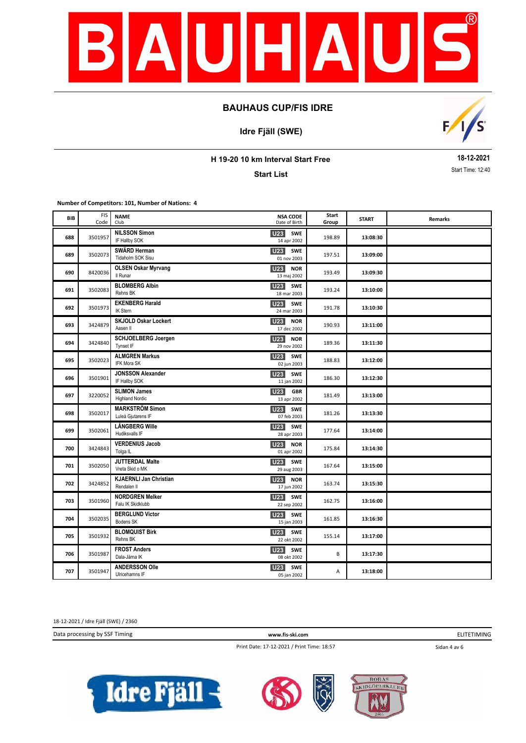

**Idre Fjäll (SWE)**



**H 19-20 10 km Interval Start Free**

**Start List**

**18-12-2021** Start Time: 12:40

**Number of Competitors: 101, Number of Nations: 4**

| BIB | <b>FIS</b><br>Code | <b>NAME</b><br>Club                           | <b>NSA CODE</b><br>Date of Birth             | Start<br>Group | <b>START</b> | Remarks |
|-----|--------------------|-----------------------------------------------|----------------------------------------------|----------------|--------------|---------|
| 688 | 3501957            | <b>NILSSON Simon</b><br>IF Hallby SOK         | <b>SWE</b><br>U23<br>14 apr 2002             | 198.89         | 13:08:30     |         |
| 689 | 3502073            | SWÄRD Herman<br>Tidaholm SOK Sisu             | <b>U23</b> SWE<br>01 nov 2003                | 197.51         | 13:09:00     |         |
| 690 | 8420036            | <b>OLSEN Oskar Myrvang</b><br>Il Runar        | <b>U23</b><br><b>NOR</b><br>13 maj 2002      | 193.49         | 13:09:30     |         |
| 691 | 3502083            | <b>BLOMBERG Albin</b><br>Rehns BK             | U <sub>23</sub><br>SWE<br>18 mar 2003        | 193.24         | 13:10:00     |         |
| 692 | 3501973            | <b>EKENBERG Harald</b><br><b>IK Stern</b>     | <b>U23</b><br>SWE<br>24 mar 2003             | 191.78         | 13:10:30     |         |
| 693 | 3424879            | <b>SKJOLD Oskar Lockert</b><br>Aasen II       | <b>U23</b><br><b>NOR</b><br>17 dec 2002      | 190.93         | 13:11:00     |         |
| 694 | 3424840            | <b>SCHJOELBERG Joergen</b><br>Tynset IF       | <b>U23</b><br><b>NOR</b><br>29 nov 2002      | 189.36         | 13:11:30     |         |
| 695 | 3502023            | <b>ALMGREN Markus</b><br><b>IFK Mora SK</b>   | <b>U23</b><br>SWE<br>02 jun 2003             | 188.83         | 13:12:00     |         |
| 696 | 3501901            | <b>JONSSON Alexander</b><br>IF Hallby SOK     | U23<br><b>SWE</b><br>11 jan 2002             | 186.30         | 13:12:30     |         |
| 697 | 3220052            | <b>SLIMON James</b><br><b>Highland Nordic</b> | U <sub>23</sub><br><b>GBR</b><br>13 apr 2002 | 181.49         | 13:13:00     |         |
| 698 | 3502017            | <b>MARKSTRÖM Simon</b><br>Luleå Gjutarens IF  | U23 SWE<br>07 feb 2003                       | 181.26         | 13:13:30     |         |
| 699 | 3502061            | <b>LÅNGBERG Wille</b><br>Hudiksvalls IF       | U23 SWE<br>28 apr 2003                       | 177.64         | 13:14:00     |         |
| 700 | 3424843            | <b>VERDENIUS Jacob</b><br>Tolga <sub>IL</sub> | U <sub>23</sub><br><b>NOR</b><br>01 apr 2002 | 175.84         | 13:14:30     |         |
| 701 | 3502050            | <b>JUTTERDAL Malte</b><br>Vreta Skid o MK     | U <sub>23</sub><br>SWE<br>29 aug 2003        | 167.64         | 13:15:00     |         |
| 702 | 3424852            | <b>KJAERNLI Jan Christian</b><br>Rendalen II  | <b>U23</b><br><b>NOR</b><br>17 jun 2002      | 163.74         | 13:15:30     |         |
| 703 | 3501960            | <b>NORDGREN Melker</b><br>Falu IK Skidklubb   | <b>U23</b><br><b>SWE</b><br>22 sep 2002      | 162.75         | 13:16:00     |         |
| 704 | 3502035            | <b>BERGLUND Victor</b><br>Bodens SK           | <b>U23</b> SWE<br>15 jan 2003                | 161.85         | 13:16:30     |         |
| 705 | 3501932            | <b>BLOMQUIST Birk</b><br>Rehns BK             | U23 SWE<br>22 okt 2002                       | 155.14         | 13:17:00     |         |
| 706 | 3501987            | <b>FROST Anders</b><br>Dala-Järna IK          | <b>U23</b> SWE<br>08 okt 2002                | B              | 13:17:30     |         |
| 707 | 3501947            | <b>ANDERSSON Olle</b><br>Ulricehamns IF       | U23<br><b>SWE</b><br>05 jan 2002             | А              | 13:18:00     |         |

18-12-2021 / Idre Fjäll (SWE) / 2360

Data processing by SSF Timing **www.fis-ski.com**

ELITETIMING

Print Date: 17-12-2021 / Print Time: 18:57

Sidan 4 av 6





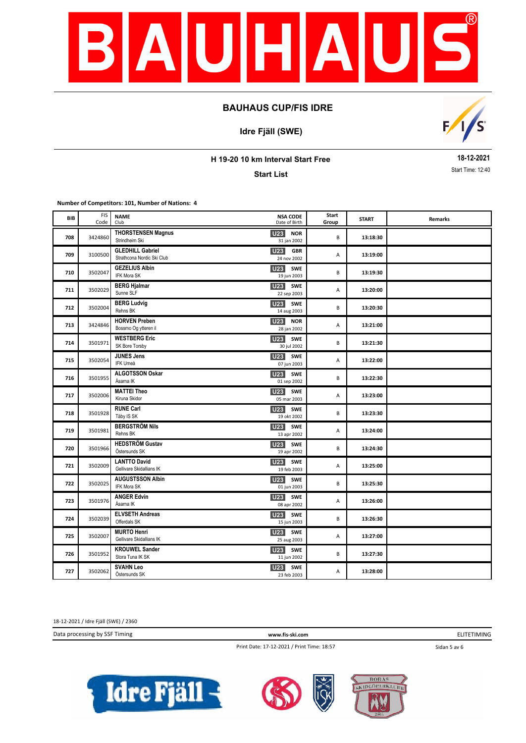

**Idre Fjäll (SWE)**



**H 19-20 10 km Interval Start Free**

**Start List**

**18-12-2021** Start Time: 12:40

**Number of Competitors: 101, Number of Nations: 4**

| BIB | <b>FIS</b><br>Code | <b>NAME</b><br>Club                                   | <b>NSA CODE</b><br>Date of Birth             | Start<br>Group | <b>START</b> | Remarks |
|-----|--------------------|-------------------------------------------------------|----------------------------------------------|----------------|--------------|---------|
| 708 | 3424860            | <b>THORSTENSEN Magnus</b><br>Strindheim Ski           | U23<br><b>NOR</b><br>31 jan 2002             | B              | 13:18:30     |         |
| 709 | 3100500            | <b>GLEDHILL Gabriel</b><br>Strathcona Nordic Ski Club | U23<br><b>GBR</b><br>24 nov 2002             | Α              | 13:19:00     |         |
| 710 | 3502047            | <b>GEZELIUS Albin</b><br>IFK Mora SK                  | U23 SWE<br>19 jun 2003                       | В              | 13:19:30     |         |
| 711 | 3502029            | <b>BERG Hjalmar</b><br>Sunne SLF                      | U <sub>23</sub><br><b>SWE</b><br>22 sep 2003 | Α              | 13:20:00     |         |
| 712 | 3502004            | <b>BERG Ludvig</b><br>Rehns BK                        | <b>U23</b><br>SWE<br>14 aug 2003             | B              | 13:20:30     |         |
| 713 | 3424846            | <b>HORVEN Preben</b><br>Bossmo Og ytteren il          | <b>U23</b><br><b>NOR</b><br>28 jan 2002      | А              | 13:21:00     |         |
| 714 | 3501971            | <b>WESTBERG Eric</b><br>SK Bore Torsby                | <b>U23</b><br>SWE<br>30 jul 2002             | В              | 13:21:30     |         |
| 715 | 3502054            | <b>JUNES Jens</b><br>IFK Umeå                         | <b>U23</b><br>SWE<br>07 jun 2003             | А              | 13:22:00     |         |
| 716 | 3501955            | ALGOTSSON Oskar<br>Åsarna IK                          | U <sub>23</sub><br>SWE<br>01 sep 2002        | B              | 13:22:30     |         |
| 717 | 3502006            | <b>MATTEI Theo</b><br>Kiruna Skidor                   | U23 SWE<br>05 mar 2003                       | А              | 13:23:00     |         |
| 718 | 3501928            | <b>RUNE Carl</b><br>Täby IS SK                        | U <sub>23</sub><br><b>SWE</b><br>19 okt 2002 | B              | 13:23:30     |         |
| 719 | 3501981            | <b>BERGSTRÖM Nils</b><br>Rehns BK                     | U23<br><b>SWE</b><br>13 apr 2002             | А              | 13:24:00     |         |
| 720 | 3501966            | <b>HEDSTRÖM Gustav</b><br>Östersunds SK               | U <sub>23</sub><br>SWE<br>19 apr 2002        | B              | 13:24:30     |         |
| 721 | 3502009            | <b>LANTTO David</b><br>Gellivare Skidallians IK       | U <sub>23</sub><br><b>SWE</b><br>19 feb 2003 | А              | 13:25:00     |         |
| 722 | 3502025            | <b>AUGUSTSSON Albin</b><br>IFK Mora SK                | U23<br><b>SWE</b><br>01 jun 2003             | B              | 13:25:30     |         |
| 723 | 3501976            | <b>ANGER Edvin</b><br>Åsarna IK                       | <b>U23</b><br><b>SWE</b><br>08 apr 2002      | А              | 13:26:00     |         |
| 724 | 3502039            | <b>ELVSETH Andreas</b><br>Offerdals SK                | <b>U23</b> SWE<br>15 jun 2003                | B              | 13:26:30     |         |
| 725 | 3502007            | <b>MURTO Henri</b><br>Gellivare Skidallians IK        | U <sub>23</sub><br><b>SWE</b><br>25 aug 2003 | Α              | 13:27:00     |         |
| 726 | 3501952            | <b>KROUWEL Sander</b><br>Stora Tuna IK SK             | U23 SWE<br>11 jun 2002                       | В              | 13:27:30     |         |
| 727 | 3502062            | <b>SVAHN Leo</b><br>Östersunds SK                     | U23<br><b>SWE</b><br>23 feb 2003             | Α              | 13:28:00     |         |

18-12-2021 / Idre Fjäll (SWE) / 2360

Data processing by SSF Timing **www.fis-ski.com**

ELITETIMING

Print Date: 17-12-2021 / Print Time: 18:57